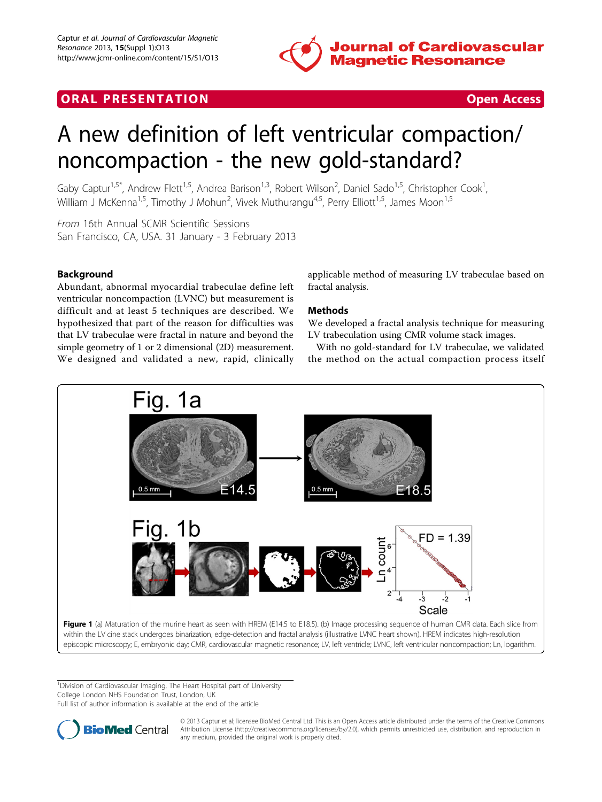

## <span id="page-0-0"></span>**ORAL PRESENTATION CONSUMING ACCESS**



# A new definition of left ventricular compaction/ noncompaction - the new gold-standard?

Gaby Captur<sup>1,5\*</sup>, Andrew Flett<sup>1,5</sup>, Andrea Barison<sup>1,3</sup>, Robert Wilson<sup>2</sup>, Daniel Sado<sup>1,5</sup>, Christopher Cook<sup>1</sup> , William J McKenna<sup>1,5</sup>, Timothy J Mohun<sup>2</sup>, Vivek Muthurangu<sup>4,5</sup>, Perry Elliott<sup>1,5</sup>, James Moon<sup>1,5</sup>

From 16th Annual SCMR Scientific Sessions San Francisco, CA, USA. 31 January - 3 February 2013

### Background

Abundant, abnormal myocardial trabeculae define left ventricular noncompaction (LVNC) but measurement is difficult and at least 5 techniques are described. We hypothesized that part of the reason for difficulties was that LV trabeculae were fractal in nature and beyond the simple geometry of 1 or 2 dimensional (2D) measurement. We designed and validated a new, rapid, clinically

applicable method of measuring LV trabeculae based on fractal analysis.

#### Methods

We developed a fractal analysis technique for measuring LV trabeculation using CMR volume stack images.

With no gold-standard for LV trabeculae, we validated the method on the actual compaction process itself



<sup>1</sup> Division of Cardiovascular Imaging, The Heart Hospital part of University College London NHS Foundation Trust, London, UK

Full list of author information is available at the end of the article



© 2013 Captur et al; licensee BioMed Central Ltd. This is an Open Access article distributed under the terms of the Creative Commons Attribution License [\(http://creativecommons.org/licenses/by/2.0](http://creativecommons.org/licenses/by/2.0)), which permits unrestricted use, distribution, and reproduction in any medium, provided the original work is properly cited.